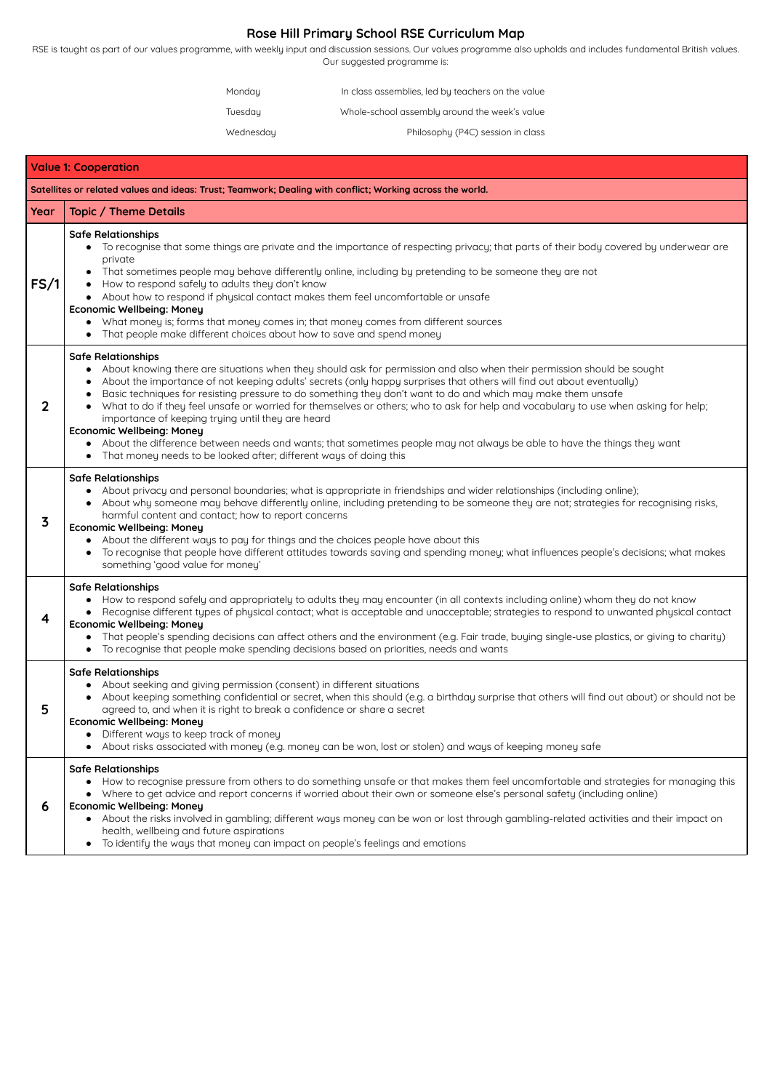# **Rose Hill Primary School RSE Curriculum Map**

RSE is taught as part of our values programme, with weekly input and discussion sessions. Our values programme also upholds and includes fundamental British values. Our suggested programme is:

| Monday    | In class assemblies, led by teachers on the value |
|-----------|---------------------------------------------------|
| Tuesday   | Whole-school assembly around the week's value     |
| Wednesday | Philosophy (P4C) session in class                 |

| <b>Value 1: Cooperation</b>                                                                               |                                                                                                                                                                                                                                                                                                                                                                                                                                                                                                                                                                                                                                                                                                                                                                                                                              |  |
|-----------------------------------------------------------------------------------------------------------|------------------------------------------------------------------------------------------------------------------------------------------------------------------------------------------------------------------------------------------------------------------------------------------------------------------------------------------------------------------------------------------------------------------------------------------------------------------------------------------------------------------------------------------------------------------------------------------------------------------------------------------------------------------------------------------------------------------------------------------------------------------------------------------------------------------------------|--|
| Satellites or related values and ideas: Trust; Teamwork; Dealing with conflict; Working across the world. |                                                                                                                                                                                                                                                                                                                                                                                                                                                                                                                                                                                                                                                                                                                                                                                                                              |  |
| Year                                                                                                      | <b>Topic / Theme Details</b>                                                                                                                                                                                                                                                                                                                                                                                                                                                                                                                                                                                                                                                                                                                                                                                                 |  |
| FS/1                                                                                                      | <b>Safe Relationships</b><br>To recognise that some things are private and the importance of respecting privacy; that parts of their body covered by underwear are<br>private<br>That sometimes people may behave differently online, including by pretending to be someone they are not<br>$\bullet$<br>How to respond safely to adults they don't know<br>About how to respond if physical contact makes them feel uncomfortable or unsafe<br><b>Economic Wellbeing: Money</b><br>What money is; forms that money comes in; that money comes from different sources<br>That people make different choices about how to save and spend money                                                                                                                                                                                |  |
| $\mathbf{2}$                                                                                              | <b>Safe Relationships</b><br>About knowing there are situations when they should ask for permission and also when their permission should be sought<br>About the importance of not keeping adults' secrets (only happy surprises that others will find out about eventually)<br>Basic techniques for resisting pressure to do something they don't want to do and which may make them unsafe<br>What to do if they feel unsafe or worried for themselves or others; who to ask for help and vocabulary to use when asking for help;<br>importance of keeping trying until they are heard<br><b>Economic Wellbeing: Money</b><br>About the difference between needs and wants; that sometimes people may not always be able to have the things they want<br>That money needs to be looked after; different ways of doing this |  |
| 3                                                                                                         | <b>Safe Relationships</b><br>About privacy and personal boundaries; what is appropriate in friendships and wider relationships (including online);<br>About why someone may behave differently online, including pretending to be someone they are not; strategies for recognising risks,<br>harmful content and contact; how to report concerns<br><b>Economic Wellbeing: Money</b><br>About the different ways to pay for things and the choices people have about this<br>To recognise that people have different attitudes towards saving and spending money; what influences people's decisions; what makes<br>something 'good value for money'                                                                                                                                                                         |  |
| 4                                                                                                         | <b>Safe Relationships</b><br>How to respond safely and appropriately to adults they may encounter (in all contexts including online) whom they do not know<br>Recognise different types of physical contact; what is acceptable and unacceptable; strategies to respond to unwanted physical contact<br><b>Economic Wellbeing: Money</b><br>That people's spending decisions can affect others and the environment (e.g. Fair trade, buying single-use plastics, or giving to charity)<br>To recognise that people make spending decisions based on priorities, needs and wants                                                                                                                                                                                                                                              |  |
| 5                                                                                                         | <b>Safe Relationships</b><br>About seeking and giving permission (consent) in different situations<br>About keeping something confidential or secret, when this should (e.g. a birthday surprise that others will find out about) or should not be<br>agreed to, and when it is right to break a confidence or share a secret<br><b>Economic Wellbeing: Money</b><br>Different ways to keep track of money<br>About risks associated with money (e.g. money can be won, lost or stolen) and ways of keeping money safe                                                                                                                                                                                                                                                                                                       |  |
| 6                                                                                                         | <b>Safe Relationships</b><br>How to recognise pressure from others to do something unsafe or that makes them feel uncomfortable and strategies for managing this<br>• Where to get advice and report concerns if worried about their own or someone else's personal safety (including online)<br><b>Economic Wellbeing: Money</b><br>• About the risks involved in gambling; different ways money can be won or lost through gambling-related activities and their impact on                                                                                                                                                                                                                                                                                                                                                 |  |

health, wellbeing and future aspirations

● To identify the ways that money can impact on people's feelings and emotions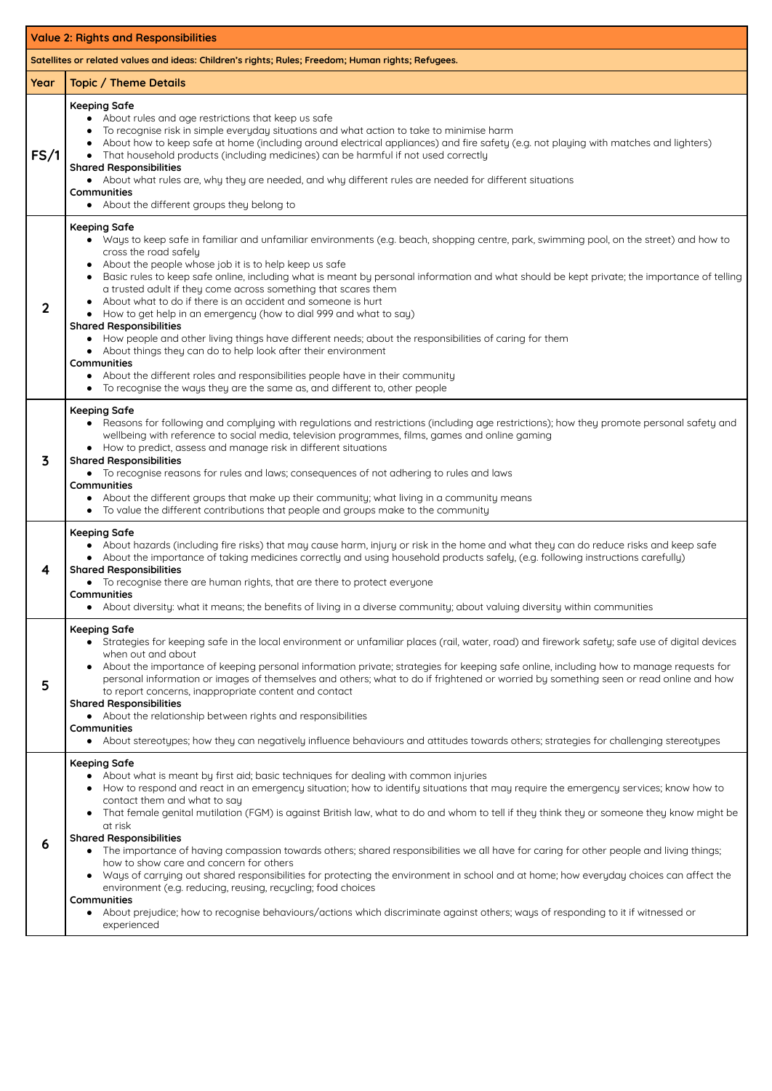|                                                                                                    | <b>Value 2: Rights and Responsibilities</b>                                                                                                                                                                                                                                                                                                                                                                                                                                                                                                                                                                                                                                                                                                                                                                                                                                                                                                                                                                                             |  |  |
|----------------------------------------------------------------------------------------------------|-----------------------------------------------------------------------------------------------------------------------------------------------------------------------------------------------------------------------------------------------------------------------------------------------------------------------------------------------------------------------------------------------------------------------------------------------------------------------------------------------------------------------------------------------------------------------------------------------------------------------------------------------------------------------------------------------------------------------------------------------------------------------------------------------------------------------------------------------------------------------------------------------------------------------------------------------------------------------------------------------------------------------------------------|--|--|
| Satellites or related values and ideas: Children's rights; Rules; Freedom; Human rights; Refugees. |                                                                                                                                                                                                                                                                                                                                                                                                                                                                                                                                                                                                                                                                                                                                                                                                                                                                                                                                                                                                                                         |  |  |
| Year                                                                                               | <b>Topic / Theme Details</b>                                                                                                                                                                                                                                                                                                                                                                                                                                                                                                                                                                                                                                                                                                                                                                                                                                                                                                                                                                                                            |  |  |
| FS/1                                                                                               | <b>Keeping Safe</b><br>About rules and age restrictions that keep us safe<br>To recognise risk in simple everyday situations and what action to take to minimise harm<br>About how to keep safe at home (including around electrical appliances) and fire safety (e.g. not playing with matches and lighters)<br>That household products (including medicines) can be harmful if not used correctly<br><b>Shared Responsibilities</b><br>• About what rules are, why they are needed, and why different rules are needed for different situations<br><b>Communities</b><br>About the different groups they belong to<br>$\bullet$                                                                                                                                                                                                                                                                                                                                                                                                       |  |  |
| 2                                                                                                  | <b>Keeping Safe</b><br>Ways to keep safe in familiar and unfamiliar environments (e.g. beach, shopping centre, park, swimming pool, on the street) and how to<br>cross the road safely<br>About the people whose job it is to help keep us safe<br>$\bullet$<br>Basic rules to keep safe online, including what is meant by personal information and what should be kept private; the importance of telling<br>a trusted adult if they come across something that scares them<br>About what to do if there is an accident and someone is hurt<br>How to get help in an emergency (how to dial 999 and what to say)<br><b>Shared Responsibilities</b><br>How people and other living things have different needs; about the responsibilities of caring for them<br>$\bullet$<br>About things they can do to help look after their environment<br>$\bullet$<br>Communities<br>About the different roles and responsibilities people have in their community<br>To recognise the ways they are the same as, and different to, other people |  |  |
| 3                                                                                                  | <b>Keeping Safe</b><br>Reasons for following and complying with regulations and restrictions (including age restrictions); how they promote personal safety and<br>$\bullet$<br>wellbeing with reference to social media, television programmes, films, games and online gaming<br>• How to predict, assess and manage risk in different situations<br><b>Shared Responsibilities</b><br>• To recognise reasons for rules and laws; consequences of not adhering to rules and laws<br><b>Communities</b><br>About the different groups that make up their community; what living in a community means<br>$\bullet$<br>To value the different contributions that people and groups make to the community                                                                                                                                                                                                                                                                                                                                 |  |  |
| 4                                                                                                  | <b>Keeping Safe</b><br>• About hazards (including fire risks) that may cause harm, injury or risk in the home and what they can do reduce risks and keep safe<br>About the importance of taking medicines correctly and using household products safely, (e.g. following instructions carefully)<br><b>Shared Responsibilities</b><br>• To recognise there are human rights, that are there to protect everyone<br><b>Communities</b><br>About diversity: what it means; the benefits of living in a diverse community; about valuing diversity within communities<br>$\bullet$                                                                                                                                                                                                                                                                                                                                                                                                                                                         |  |  |
| 5                                                                                                  | <b>Keeping Safe</b><br>Strategies for keeping safe in the local environment or unfamiliar places (rail, water, road) and firework safety; safe use of digital devices<br>$\bullet$<br>when out and about<br>About the importance of keeping personal information private; strategies for keeping safe online, including how to manage requests for<br>$\bullet$<br>personal information or images of themselves and others; what to do if frightened or worried by something seen or read online and how<br>to report concerns, inappropriate content and contact<br><b>Shared Responsibilities</b><br>• About the relationship between rights and responsibilities<br><b>Communities</b><br>• About stereotypes; how they can negatively influence behaviours and attitudes towards others; strategies for challenging stereotypes<br><b>Keeping Safe</b>                                                                                                                                                                              |  |  |
|                                                                                                    | About what is meant by first aid; basic techniques for dealing with common injuries<br>$\bullet$<br>How to respond and react in an emergency situation; how to identify situations that may require the emergency services; know how to<br>contact them and what to say<br>That female genital mutilation (FGM) is against British law, what to do and whom to tell if they think they or someone they know might be                                                                                                                                                                                                                                                                                                                                                                                                                                                                                                                                                                                                                    |  |  |

**6**

at risk

#### **Shared Responsibilities**

- The importance of having compassion towards others; shared responsibilities we all have for caring for other people and living things; how to show care and concern for others
- Ways of carrying out shared responsibilities for protecting the environment in school and at home; how everyday choices can affect the environment (e.g. reducing, reusing, recycling; food choices

#### **Communities**

● About prejudice; how to recognise behaviours/actions which discriminate against others; ways of responding to it if witnessed or experienced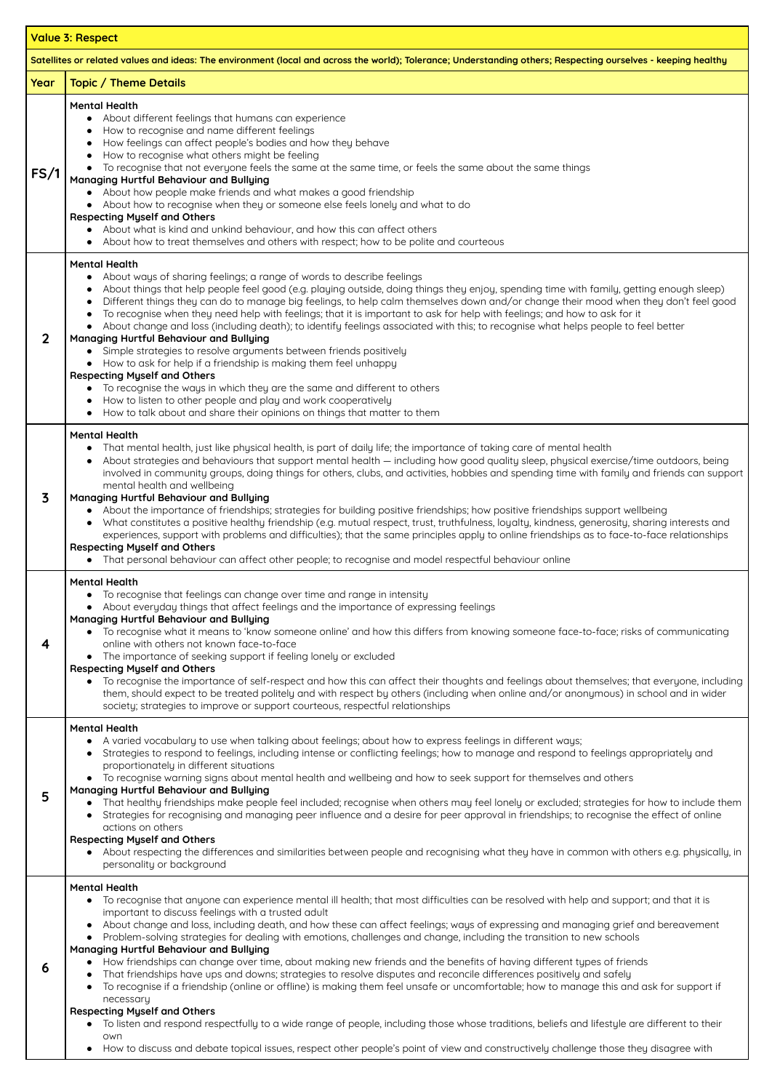|                                                                                                                                                               | <b>Value 3: Respect</b>                                                                                                                                                                                                                                                                                                                                                                                                                                                                                                                                                                                                                                                                                                                                                                                                                                                                                                                                                                                                                                                                                  |  |
|---------------------------------------------------------------------------------------------------------------------------------------------------------------|----------------------------------------------------------------------------------------------------------------------------------------------------------------------------------------------------------------------------------------------------------------------------------------------------------------------------------------------------------------------------------------------------------------------------------------------------------------------------------------------------------------------------------------------------------------------------------------------------------------------------------------------------------------------------------------------------------------------------------------------------------------------------------------------------------------------------------------------------------------------------------------------------------------------------------------------------------------------------------------------------------------------------------------------------------------------------------------------------------|--|
| Satellites or related values and ideas: The environment (local and across the world); Tolerance; Understanding others; Respecting ourselves - keeping healthy |                                                                                                                                                                                                                                                                                                                                                                                                                                                                                                                                                                                                                                                                                                                                                                                                                                                                                                                                                                                                                                                                                                          |  |
| Year                                                                                                                                                          | <b>Topic / Theme Details</b>                                                                                                                                                                                                                                                                                                                                                                                                                                                                                                                                                                                                                                                                                                                                                                                                                                                                                                                                                                                                                                                                             |  |
| FS/1                                                                                                                                                          | <b>Mental Health</b><br>About different feelings that humans can experience<br>How to recognise and name different feelings<br>How feelings can affect people's bodies and how they behave<br>How to recognise what others might be feeling<br>To recognise that not everyone feels the same at the same time, or feels the same about the same things<br>Managing Hurtful Behaviour and Bullying<br>About how people make friends and what makes a good friendship<br>About how to recognise when they or someone else feels lonely and what to do<br><b>Respecting Myself and Others</b><br>About what is kind and unkind behaviour, and how this can affect others<br>$\bullet$<br>About how to treat themselves and others with respect; how to be polite and courteous                                                                                                                                                                                                                                                                                                                              |  |
| 2                                                                                                                                                             | <b>Mental Health</b><br>About ways of sharing feelings; a range of words to describe feelings<br>About things that help people feel good (e.g. playing outside, doing things they enjoy, spending time with family, getting enough sleep)<br>Different things they can do to manage big feelings, to help calm themselves down and/or change their mood when they don't feel good<br>To recognise when they need help with feelings; that it is important to ask for help with feelings; and how to ask for it<br>About change and loss (including death); to identify feelings associated with this; to recognise what helps people to feel better<br>Managing Hurtful Behaviour and Bullying<br>Simple strategies to resolve arguments between friends positively<br>• How to ask for help if a friendship is making them feel unhappy<br><b>Respecting Myself and Others</b><br>To recognise the ways in which they are the same and different to others<br>How to listen to other people and play and work cooperatively<br>How to talk about and share their opinions on things that matter to them |  |
| 3                                                                                                                                                             | <b>Mental Health</b><br>That mental health, just like physical health, is part of daily life; the importance of taking care of mental health<br>About strategies and behaviours that support mental health - including how good quality sleep, physical exercise/time outdoors, being<br>involved in community groups, doing things for others, clubs, and activities, hobbies and spending time with family and friends can support<br>mental health and wellbeing<br><b>Managing Hurtful Behaviour and Bullying</b><br>• About the importance of friendships; strategies for building positive friendships; how positive friendships support wellbeing<br>What constitutes a positive healthy friendship (e.g. mutual respect, trust, truthfulness, loyalty, kindness, generosity, sharing interests and<br>experiences, support with problems and difficulties); that the same principles apply to online friendships as to face-to-face relationships<br><b>Respecting Myself and Others</b><br>That personal behaviour can affect other people; to recognise and model respectful behaviour online  |  |
| 4                                                                                                                                                             | <b>Mental Health</b><br>To recognise that feelings can change over time and range in intensity<br>• About everyday things that affect feelings and the importance of expressing feelings<br>Managing Hurtful Behaviour and Bullying<br>• To recognise what it means to 'know someone online' and how this differs from knowing someone face-to-face; risks of communicating<br>online with others not known face-to-face<br>• The importance of seeking support if feeling lonely or excluded<br><b>Respecting Myself and Others</b><br>To recognise the importance of self-respect and how this can affect their thoughts and feelings about themselves; that everyone, including<br>them, should expect to be treated politely and with respect by others (including when online and/or anonymous) in school and in wider<br>society; strategies to improve or support courteous, respectful relationships                                                                                                                                                                                             |  |
| 5                                                                                                                                                             | <b>Mental Health</b><br>• A varied vocabulary to use when talking about feelings; about how to express feelings in different ways;<br>Strategies to respond to feelings, including intense or conflicting feelings; how to manage and respond to feelings appropriately and<br>proportionately in different situations<br>• To recognise warning signs about mental health and wellbeing and how to seek support for themselves and others<br>Managing Hurtful Behaviour and Bullying<br>That healthy friendships make people feel included; recognise when others may feel lonely or excluded; strategies for how to include them                                                                                                                                                                                                                                                                                                                                                                                                                                                                       |  |

Strategies for recognising and managing peer influence and a desire for peer approval in friendships; to recognise the effect of online

#### actions on others

#### **Respecting Myself and Others**

● About respecting the differences and similarities between people and recognising what they have in common with others e.g. physically, in personality or background

**6**

#### **Mental Health**

- To recognise that anyone can experience mental ill health; that most difficulties can be resolved with help and support; and that it is important to discuss feelings with a trusted adult
- About change and loss, including death, and how these can affect feelings; ways of expressing and managing grief and bereavement
- Problem-solving strategies for dealing with emotions, challenges and change, including the transition to new schools

## **Managing Hurtful Behaviour and Bullying**

- How friendships can change over time, about making new friends and the benefits of having different types of friends
- That friendships have ups and downs; strategies to resolve disputes and reconcile differences positively and safely
- To recognise if a friendship (online or offline) is making them feel unsafe or uncomfortable; how to manage this and ask for support if necessary

## **Respecting Myself and Others**

- To listen and respond respectfully to a wide range of people, including those whose traditions, beliefs and lifestyle are different to their own
- How to discuss and debate topical issues, respect other people's point of view and constructively challenge those they disagree with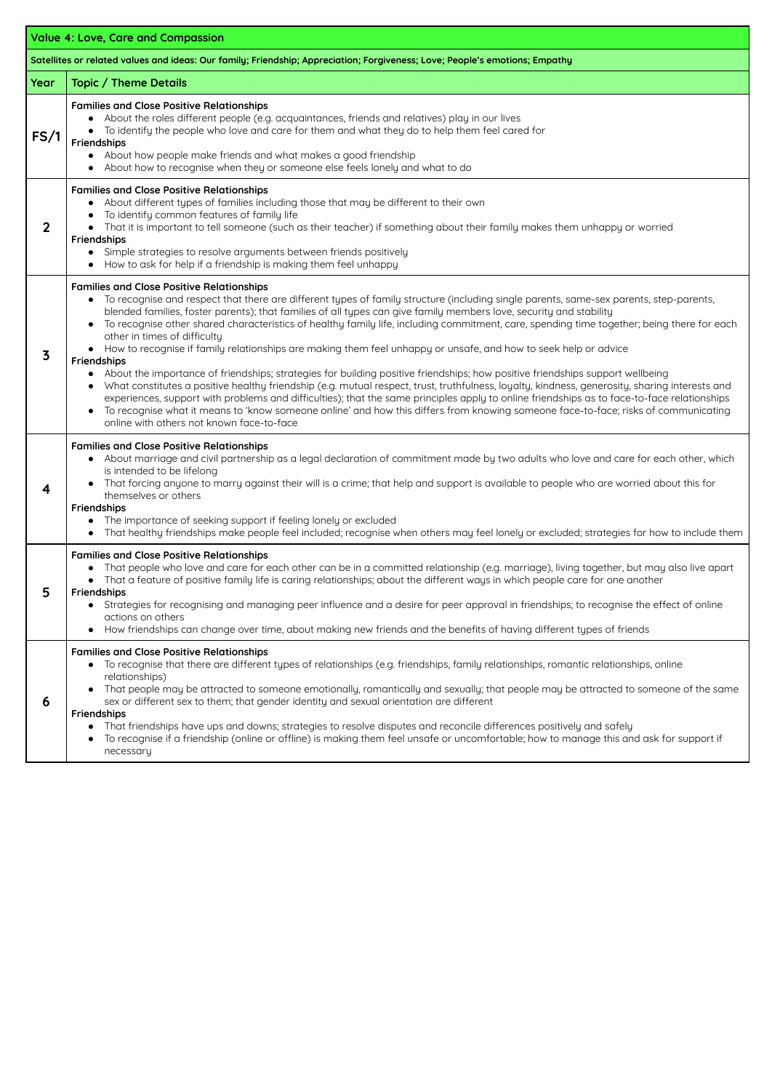| <b>Value 4: Love, Care and Compassion</b>                                                                                   |                                                                                                                                                                                                                                                                                                                                                                                                                                                                                                                                                                                                                                                                                                                                                                                                                                                                                                                                                                                                                                                                                                                                                                                                                                                                                                       |  |
|-----------------------------------------------------------------------------------------------------------------------------|-------------------------------------------------------------------------------------------------------------------------------------------------------------------------------------------------------------------------------------------------------------------------------------------------------------------------------------------------------------------------------------------------------------------------------------------------------------------------------------------------------------------------------------------------------------------------------------------------------------------------------------------------------------------------------------------------------------------------------------------------------------------------------------------------------------------------------------------------------------------------------------------------------------------------------------------------------------------------------------------------------------------------------------------------------------------------------------------------------------------------------------------------------------------------------------------------------------------------------------------------------------------------------------------------------|--|
| Satellites or related values and ideas: Our family; Friendship; Appreciation; Forgiveness; Love; People's emotions; Empathy |                                                                                                                                                                                                                                                                                                                                                                                                                                                                                                                                                                                                                                                                                                                                                                                                                                                                                                                                                                                                                                                                                                                                                                                                                                                                                                       |  |
| Year                                                                                                                        | <b>Topic / Theme Details</b>                                                                                                                                                                                                                                                                                                                                                                                                                                                                                                                                                                                                                                                                                                                                                                                                                                                                                                                                                                                                                                                                                                                                                                                                                                                                          |  |
| FS/1                                                                                                                        | <b>Families and Close Positive Relationships</b><br>About the roles different people (e.g. acquaintances, friends and relatives) play in our lives<br>To identify the people who love and care for them and what they do to help them feel cared for<br>Friendships<br>About how people make friends and what makes a good friendship<br>About how to recognise when they or someone else feels lonely and what to do                                                                                                                                                                                                                                                                                                                                                                                                                                                                                                                                                                                                                                                                                                                                                                                                                                                                                 |  |
| $\overline{2}$                                                                                                              | <b>Families and Close Positive Relationships</b><br>About different types of families including those that may be different to their own<br>To identify common features of family life<br>That it is important to tell someone (such as their teacher) if something about their family makes them unhappy or worried<br><b>Friendships</b><br>Simple strategies to resolve arguments between friends positively<br>How to ask for help if a friendship is making them feel unhappy                                                                                                                                                                                                                                                                                                                                                                                                                                                                                                                                                                                                                                                                                                                                                                                                                    |  |
| 3                                                                                                                           | <b>Families and Close Positive Relationships</b><br>To recognise and respect that there are different types of family structure (including single parents, same-sex parents, step-parents,<br>blended families, foster parents); that families of all types can give family members love, security and stability<br>To recognise other shared characteristics of healthy family life, including commitment, care, spending time together; being there for each<br>$\bullet$<br>other in times of difficulty<br>• How to recognise if family relationships are making them feel unhappy or unsafe, and how to seek help or advice<br><b>Friendships</b><br>About the importance of friendships; strategies for building positive friendships; how positive friendships support wellbeing<br>What constitutes a positive healthy friendship (e.g. mutual respect, trust, truthfulness, loyalty, kindness, generosity, sharing interests and<br>$\bullet$<br>experiences, support with problems and difficulties); that the same principles apply to online friendships as to face-to-face relationships<br>To recognise what it means to 'know someone online' and how this differs from knowing someone face-to-face; risks of communicating<br>$\bullet$<br>online with others not known face-to-face |  |
| 4                                                                                                                           | <b>Families and Close Positive Relationships</b><br>About marriage and civil partnership as a legal declaration of commitment made by two adults who love and care for each other, which<br>is intended to be lifelong<br>That forcing anyone to marry against their will is a crime; that help and support is available to people who are worried about this for<br>themselves or others<br><b>Friendships</b><br>• The importance of seeking support if feeling lonely or excluded<br>That healthy friendships make people feel included; recognise when others may feel lonely or excluded; strategies for how to include them                                                                                                                                                                                                                                                                                                                                                                                                                                                                                                                                                                                                                                                                     |  |
| 5                                                                                                                           | <b>Families and Close Positive Relationships</b><br>That people who love and care for each other can be in a committed relationship (e.g. marriage), living together, but may also live apart<br>That a feature of positive family life is caring relationships; about the different ways in which people care for one another<br><b>Friendships</b><br>Strategies for recognising and managing peer influence and a desire for peer approval in friendships; to recognise the effect of online<br>actions on others<br>How friendships can change over time, about making new friends and the benefits of having different types of friends<br>$\bullet$                                                                                                                                                                                                                                                                                                                                                                                                                                                                                                                                                                                                                                             |  |
| 6                                                                                                                           | <b>Families and Close Positive Relationships</b><br>To recognise that there are different types of relationships (e.g. friendships, family relationships, romantic relationships, online<br>relationships)<br>That people may be attracted to someone emotionally, romantically and sexually; that people may be attracted to someone of the same<br>$\bullet$<br>sex or different sex to them; that gender identity and sexual orientation are different<br><b>Friendships</b><br>That friendships have ups and downs; strategies to resolve disputes and reconcile differences positively and safely<br>To recognise if a friendship (online or offline) is making them feel unsafe or uncomfortable; how to manage this and ask for support if<br>necessary                                                                                                                                                                                                                                                                                                                                                                                                                                                                                                                                        |  |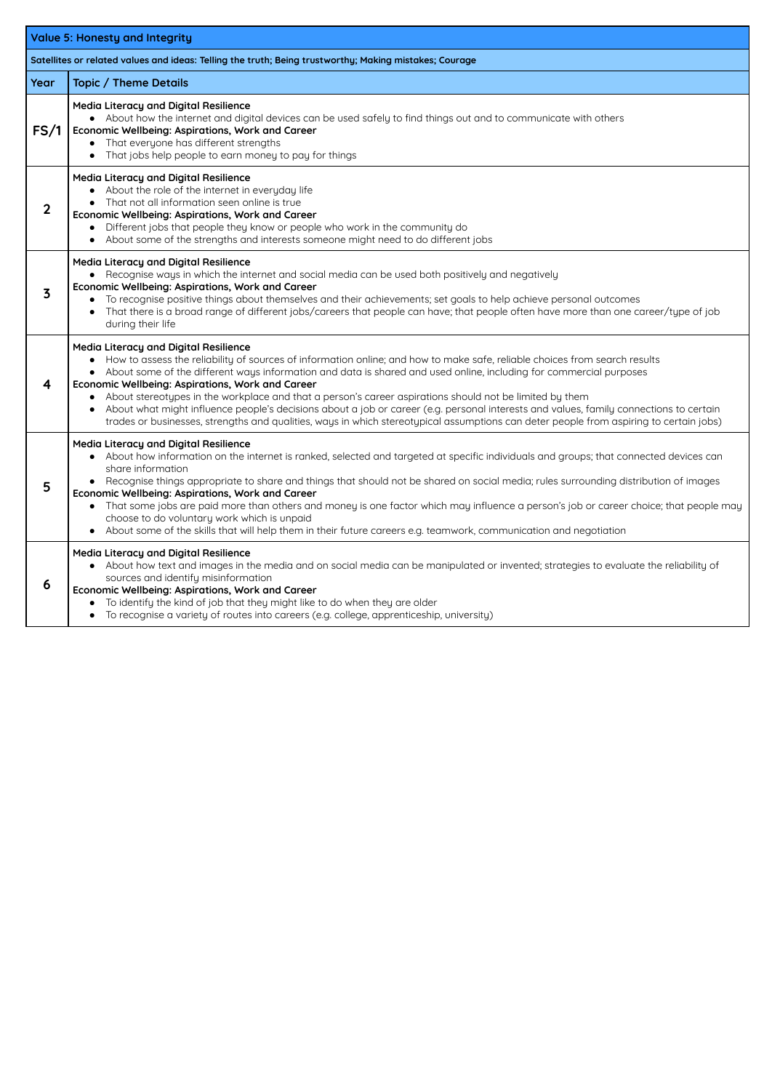| <b>Value 5: Honesty and Integrity</b>                                                                  |                                                                                                                                                                                                                                                                                                                                                                                                                                                                                                                                                                                                                                                                                                                                                       |  |
|--------------------------------------------------------------------------------------------------------|-------------------------------------------------------------------------------------------------------------------------------------------------------------------------------------------------------------------------------------------------------------------------------------------------------------------------------------------------------------------------------------------------------------------------------------------------------------------------------------------------------------------------------------------------------------------------------------------------------------------------------------------------------------------------------------------------------------------------------------------------------|--|
| Satellites or related values and ideas: Telling the truth; Being trustworthy; Making mistakes; Courage |                                                                                                                                                                                                                                                                                                                                                                                                                                                                                                                                                                                                                                                                                                                                                       |  |
| Year                                                                                                   | <b>Topic / Theme Details</b>                                                                                                                                                                                                                                                                                                                                                                                                                                                                                                                                                                                                                                                                                                                          |  |
| FS/1                                                                                                   | <b>Media Literacy and Digital Resilience</b><br>• About how the internet and digital devices can be used safely to find things out and to communicate with others<br>Economic Wellbeing: Aspirations, Work and Career<br>• That everyone has different strengths<br>That jobs help people to earn money to pay for things                                                                                                                                                                                                                                                                                                                                                                                                                             |  |
| $\overline{2}$                                                                                         | <b>Media Literacy and Digital Resilience</b><br>• About the role of the internet in everyday life<br>• That not all information seen online is true<br>Economic Wellbeing: Aspirations, Work and Career<br>Different jobs that people they know or people who work in the community do<br>About some of the strengths and interests someone might need to do different jobs                                                                                                                                                                                                                                                                                                                                                                           |  |
| $\overline{\mathbf{3}}$                                                                                | <b>Media Literacy and Digital Resilience</b><br>• Recognise ways in which the internet and social media can be used both positively and negatively<br>Economic Wellbeing: Aspirations, Work and Career<br>To recognise positive things about themselves and their achievements; set goals to help achieve personal outcomes<br>That there is a broad range of different jobs/careers that people can have; that people often have more than one career/type of job<br>during their life                                                                                                                                                                                                                                                               |  |
| $\overline{\mathbf{4}}$                                                                                | <b>Media Literacy and Digital Resilience</b><br>How to assess the reliability of sources of information online; and how to make safe, reliable choices from search results<br>• About some of the different ways information and data is shared and used online, including for commercial purposes<br>Economic Wellbeing: Aspirations, Work and Career<br>About stereotypes in the workplace and that a person's career aspirations should not be limited by them<br>About what might influence people's decisions about a job or career (e.g. personal interests and values, family connections to certain<br>trades or businesses, strengths and qualities, ways in which stereotypical assumptions can deter people from aspiring to certain jobs) |  |
| 5                                                                                                      | <b>Media Literacy and Digital Resilience</b><br>About how information on the internet is ranked, selected and targeted at specific individuals and groups; that connected devices can<br>share information<br>Recognise things appropriate to share and things that should not be shared on social media; rules surrounding distribution of images<br>Economic Wellbeing: Aspirations, Work and Career<br>• That some jobs are paid more than others and money is one factor which may influence a person's job or career choice; that people may<br>choose to do voluntary work which is unpaid<br>About some of the skills that will help them in their future careers e.g. teamwork, communication and negotiation<br>$\bullet$                    |  |
| 6                                                                                                      | <b>Media Literacy and Digital Resilience</b><br>About how text and images in the media and on social media can be manipulated or invented; strategies to evaluate the reliability of<br>sources and identify misinformation<br>Economic Wellbeing: Aspirations, Work and Career<br>To identify the kind of job that they might like to do when they are older<br>To recognise a variety of routes into careers (e.g. college, apprenticeship, university)                                                                                                                                                                                                                                                                                             |  |